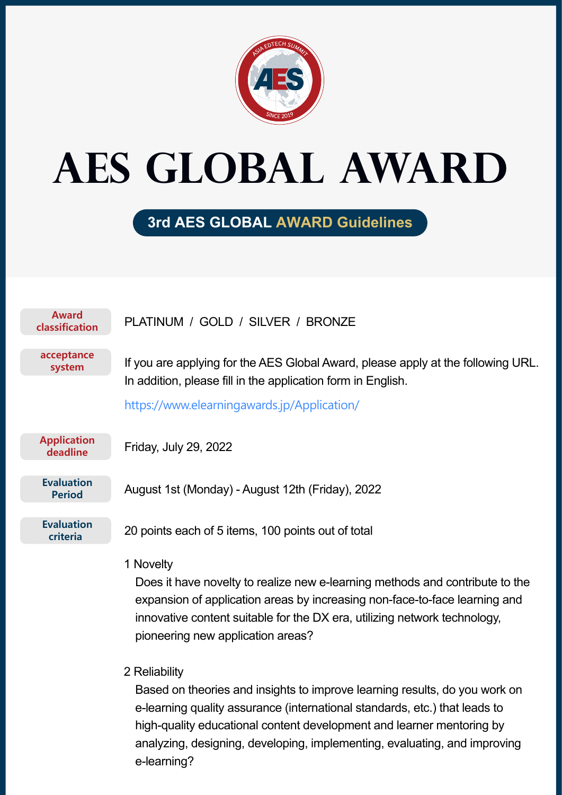

# **AES Global AWARD**

# **3rd AES GLOBAL AWARD Guidelines**

| <b>Award</b><br>classification     | PLATINUM / GOLD / SILVER / BRONZE                                                                                                                                                                                                                                                                                                              |
|------------------------------------|------------------------------------------------------------------------------------------------------------------------------------------------------------------------------------------------------------------------------------------------------------------------------------------------------------------------------------------------|
| acceptance<br>system               | If you are applying for the AES Global Award, please apply at the following URL.<br>In addition, please fill in the application form in English.                                                                                                                                                                                               |
|                                    | https://www.elearningawards.jp/Application/                                                                                                                                                                                                                                                                                                    |
| <b>Application</b><br>deadline     | Friday, July 29, 2022                                                                                                                                                                                                                                                                                                                          |
| <b>Evaluation</b><br><b>Period</b> | August 1st (Monday) - August 12th (Friday), 2022                                                                                                                                                                                                                                                                                               |
| <b>Evaluation</b><br>criteria      | 20 points each of 5 items, 100 points out of total                                                                                                                                                                                                                                                                                             |
|                                    | 1 Novelty<br>Does it have novelty to realize new e-learning methods and contribute to the<br>expansion of application areas by increasing non-face-to-face learning and<br>innovative content suitable for the DX era, utilizing network technology,<br>pioneering new application areas?                                                      |
|                                    | 2 Reliability<br>Based on theories and insights to improve learning results, do you work on<br>e-learning quality assurance (international standards, etc.) that leads to<br>high-quality educational content development and learner mentoring by<br>analyzing, designing, developing, implementing, evaluating, and improving<br>e-learning? |